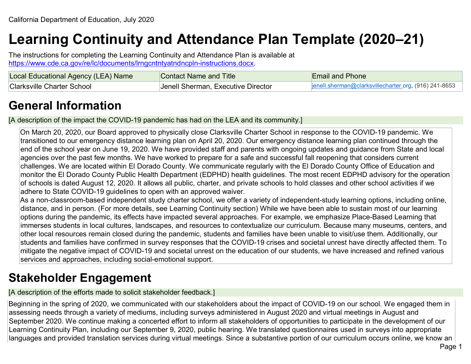# **Learning Continuity and Attendance Plan Template (2020–21)**

The instructions for completing the Learning Continuity and Attendance Plan is available at [https://www.cde.ca.gov/re/lc/documents/lrngcntntyatndncpln-instructions.docx.](https://www.cde.ca.gov/re/lc/documents/lrngcntntyatndncpln-instructions.docx)

| Local Educational Agency (LEA) Name | Contact Name and Title             | <b>Email and Phone</b>                                |
|-------------------------------------|------------------------------------|-------------------------------------------------------|
| <b>Clarksville Charter School</b>   | Jenell Sherman, Executive Director | jenell.sherman@clarksvillecharter.org, (916) 241-8653 |

## **General Information**

[A description of the impact the COVID-19 pandemic has had on the LEA and its community.]

On March 20, 2020, our Board approved to physically close Clarksville Charter School in response to the COVID-19 pandemic. We transitioned to our emergency distance learning plan on April 20, 2020. Our emergency distance learning plan continued through the end of the school year on June 19, 2020. We have provided staff and parents with ongoing updates and guidance from State and local agencies over the past few months. We have worked to prepare for a safe and successful fall reopening that considers current challenges. We are located within El Dorado County. We communicate regularly with the El Dorado County Office of Education and monitor the El Dorado County Public Health Department (EDPHD) health guidelines. The most recent EDPHD advisory for the operation of schools is dated August 12, 2020. It allows all public, charter, and private schools to hold classes and other school activities if we adhere to State COVID-19 guidelines to open with an approved waiver.

As a non-classroom-based independent study charter school, we offer a variety of independent-study learning options, including online, distance, and in person. (For more details, see Learning Continuity section) While we have been able to sustain most of our learning options during the pandemic, its effects have impacted several approaches. For example, we emphasize Place-Based Learning that immerses students in local cultures, landscapes, and resources to contextualize our curriculum. Because many museums, centers, and other local resources remain closed during the pandemic, students and families have been unable to visit/use them. Additionally, our students and families have confirmed in survey responses that the COVID-19 crises and societal unrest have directly affected them. To mitigate the negative impact of COVID-19 and societal unrest on the education of our students, we have increased and refined various services and approaches, including social-emotional support.

## **Stakeholder Engagement**

[A description of the efforts made to solicit stakeholder feedback.]

Beginning in the spring of 2020, we communicated with our stakeholders about the impact of COVID-19 on our school. We engaged them in assessing needs through a variety of mediums, including surveys administered in August 2020 and virtual meetings in August and September 2020. We continue making a concerted effort to inform all stakeholders of opportunities to participate in the development of our Learning Continuity Plan, including our September 9, 2020, public hearing. We translated questionnaires used in surveys into appropriate languages and provided translation services during virtual meetings. Since a substantive portion of our curriculum occurs online, we know an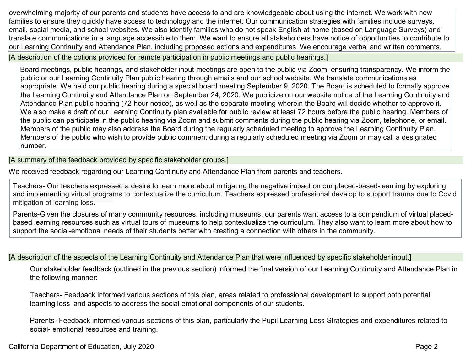overwhelming majority of our parents and students have access to and are knowledgeable about using the internet. We work with new families to ensure they quickly have access to technology and the internet. Our communication strategies with families include surveys, email, social media, and school websites. We also identify families who do not speak English at home (based on Language Surveys) and translate communications in a language accessible to them. We want to ensure all stakeholders have notice of opportunities to contribute to our Learning Continuity and Attendance Plan, including proposed actions and expenditures. We encourage verbal and written comments.

[A description of the options provided for remote participation in public meetings and public hearings.]

Board meetings, public hearings, and stakeholder input meetings are open to the public via Zoom, ensuring transparency. We inform the public or our Learning Continuity Plan public hearing through emails and our school website. We translate communications as appropriate. We held our public hearing during a special board meeting September 9, 2020. The Board is scheduled to formally approve the Learning Continuity and Attendance Plan on September 24, 2020. We publicize on our website notice of the Learning Continuity and Attendance Plan public hearing (72-hour notice), as well as the separate meeting wherein the Board will decide whether to approve it. We also make a draft of our Learning Continuity plan available for public review at least 72 hours before the public hearing. Members of the public can participate in the public hearing via Zoom and submit comments during the public hearing via Zoom, telephone, or email. Members of the public may also address the Board during the regularly scheduled meeting to approve the Learning Continuity Plan. Members of the public who wish to provide public comment during a regularly scheduled meeting via Zoom or may call a designated number.

[A summary of the feedback provided by specific stakeholder groups.]

We received feedback regarding our Learning Continuity and Attendance Plan from parents and teachers.

Teachers- Our teachers expressed a desire to learn more about mitigating the negative impact on our placed-based-learning by exploring and implementing virtual programs to contextualize the curriculum. Teachers expressed professional develop to support trauma due to Covid mitigation of learning loss.

Parents-Given the closures of many community resources, including museums, our parents want access to a compendium of virtual placedbased learning resources such as virtual tours of museums to help contextualize the curriculum. They also want to learn more about how to support the social-emotional needs of their students better with creating a connection with others in the community.

[A description of the aspects of the Learning Continuity and Attendance Plan that were influenced by specific stakeholder input.]

Our stakeholder feedback (outlined in the previous section) informed the final version of our Learning Continuity and Attendance Plan in the following manner:

Teachers- Feedback informed various sections of this plan, areas related to professional development to support both potential learning loss and aspects to address the social emotional components of our students.

Parents- Feedback informed various sections of this plan, particularly the Pupil Learning Loss Strategies and expenditures related to social- emotional resources and training.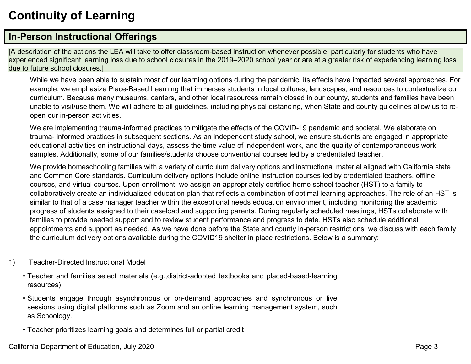# **Continuity of Learning**

### **In-Person Instructional Offerings**

[A description of the actions the LEA will take to offer classroom-based instruction whenever possible, particularly for students who have experienced significant learning loss due to school closures in the 2019–2020 school year or are at a greater risk of experiencing learning loss due to future school closures.]

While we have been able to sustain most of our learning options during the pandemic, its effects have impacted several approaches. For example, we emphasize Place-Based Learning that immerses students in local cultures, landscapes, and resources to contextualize our curriculum. Because many museums, centers, and other local resources remain closed in our county, students and families have been unable to visit/use them. We will adhere to all guidelines, including physical distancing, when State and county guidelines allow us to reopen our in-person activities.

We are implementing trauma-informed practices to mitigate the effects of the COVID-19 pandemic and societal. We elaborate on trauma- informed practices in subsequent sections. As an independent study school, we ensure students are engaged in appropriate educational activities on instructional days, assess the time value of independent work, and the quality of contemporaneous work samples. Additionally, some of our families/students choose conventional courses led by a credentialed teacher.

We provide homeschooling families with a variety of curriculum delivery options and instructional material aligned with California state and Common Core standards. Curriculum delivery options include online instruction courses led by credentialed teachers, offline courses, and virtual courses. Upon enrollment, we assign an appropriately certified home school teacher (HST) to a family to collaboratively create an individualized education plan that reflects a combination of optimal learning approaches. The role of an HST is similar to that of a case manager teacher within the exceptional needs education environment, including monitoring the academic progress of students assigned to their caseload and supporting parents. During regularly scheduled meetings, HSTs collaborate with families to provide needed support and to review student performance and progress to date. HSTs also schedule additional appointments and support as needed. As we have done before the State and county in-person restrictions, we discuss with each family the curriculum delivery options available during the COVID19 shelter in place restrictions. Below is a summary:

- 1) Teacher-Directed Instructional Model
	- Teacher and families select materials (e.g.,district-adopted textbooks and placed-based-learning resources)
	- Students engage through asynchronous or on-demand approaches and synchronous or live sessions using digital platforms such as Zoom and an online learning management system, such as Schoology.
	- Teacher prioritizes learning goals and determines full or partial credit

California Department of Education, July 2020 **Page 3** Page 3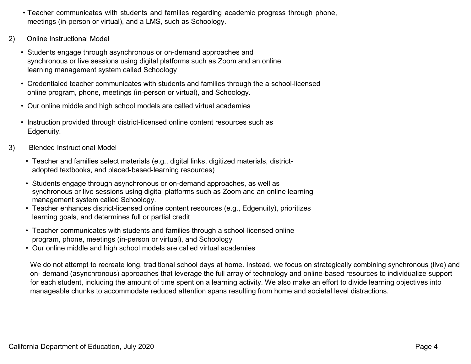- Teacher communicates with students and families regarding academic progress through phone, meetings (in-person or virtual), and a LMS, such as Schoology.
- 2) Online Instructional Model
	- Students engage through asynchronous or on-demand approaches and synchronous or live sessions using digital platforms such as Zoom and an online learning management system called Schoology
	- Credentialed teacher communicates with students and families through the a school-licensed online program, phone, meetings (in-person or virtual), and Schoology.
	- Our online middle and high school models are called virtual academies
	- Instruction provided through district-licensed online content resources such as Edgenuity.
- 3) Blended Instructional Model
	- Teacher and families select materials (e.g., digital links, digitized materials, districtadopted textbooks, and placed-based-learning resources)
	- Students engage through asynchronous or on-demand approaches, as well as synchronous or live sessions using digital platforms such as Zoom and an online learning management system called Schoology.
	- Teacher enhances district-licensed online content resources (e.g., Edgenuity), prioritizes learning goals, and determines full or partial credit
	- Teacher communicates with students and families through a school-licensed online program, phone, meetings (in-person or virtual), and Schoology
	- Our online middle and high school models are called virtual academies

We do not attempt to recreate long, traditional school days at home. Instead, we focus on strategically combining synchronous (live) and on- demand (asynchronous) approaches that leverage the full array of technology and online-based resources to individualize support for each student, including the amount of time spent on a learning activity. We also make an effort to divide learning objectives into manageable chunks to accommodate reduced attention spans resulting from home and societal level distractions.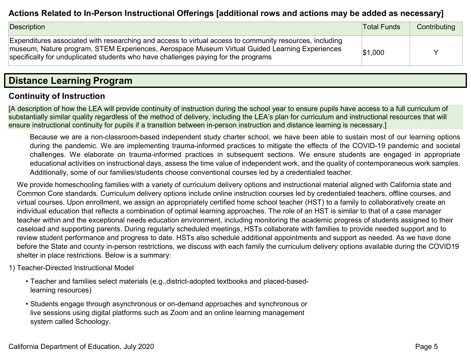#### **Actions Related to In-Person Instructional Offerings [additional rows and actions may be added as necessary]**

| Description                                                                                                                                                                                                                                                                                     | <b>Total Funds</b> | Contributing |
|-------------------------------------------------------------------------------------------------------------------------------------------------------------------------------------------------------------------------------------------------------------------------------------------------|--------------------|--------------|
| Expenditures associated with researching and access to virtual access to community resources, including<br>museum, Nature program, STEM Experiences, Aerospace Museum Virtual Guided Learning Experiences<br>specifically for unduplicated students who have challenges paying for the programs | \$1,000            |              |

### **Distance Learning Program**

#### **Continuity of Instruction**

[A description of how the LEA will provide continuity of instruction during the school year to ensure pupils have access to a full curriculum of substantially similar quality regardless of the method of delivery, including the LEA's plan for curriculum and instructional resources that will ensure instructional continuity for pupils if a transition between in-person instruction and distance learning is necessary.]

Because we are a non-classroom-based independent study charter school, we have been able to sustain most of our learning options during the pandemic. We are implementing trauma-informed practices to mitigate the effects of the COVID-19 pandemic and societal challenges. We elaborate on trauma-informed practices in subsequent sections. We ensure students are engaged in appropriate educational activities on instructional days, assess the time value of independent work, and the quality of contemporaneous work samples. Additionally, some of our families/students choose conventional courses led by a credentialed teacher.

We provide homeschooling families with a variety of curriculum delivery options and instructional material aligned with California state and Common Core standards. Curriculum delivery options include online instruction courses led by credentialed teachers, offline courses, and virtual courses. Upon enrollment, we assign an appropriately certified home school teacher (HST) to a family to collaboratively create an individual education that reflects a combination of optimal learning approaches. The role of an HST is similar to that of a case manager teacher within and the exceptional needs education environment, including monitoring the academic progress of students assigned to their caseload and supporting parents. During regularly scheduled meetings, HSTs collaborate with families to provide needed support and to review student performance and progress to date. HSTs also schedule additional appointments and support as needed. As we have done before the State and county in-person restrictions, we discuss with each family the curriculum delivery options available during the COVID19 shelter in place restrictions. Below is a summary:

- 1) Teacher-Directed Instructional Model
	- Teacher and families select materials (e.g.,district-adopted textbooks and placed-basedlearning resources)
	- Students engage through asynchronous or on-demand approaches and synchronous or live sessions using digital platforms such as Zoom and an online learning management system called Schoology.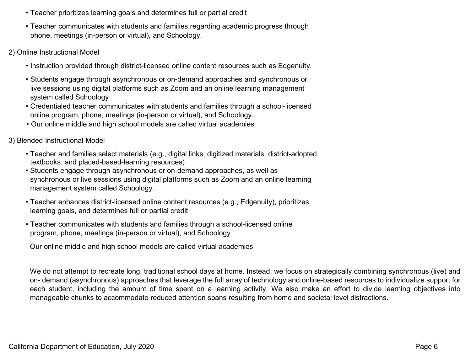- Teacher prioritizes learning goals and determines full or partial credit
- Teacher communicates with students and families regarding academic progress through phone, meetings (in-person or virtual), and Schoology.
- 2) Online Instructional Model
	- Instruction provided through district-licensed online content resources such as Edgenuity.
	- Students engage through asynchronous or on-demand approaches and synchronous or live sessions using digital platforms such as Zoom and an online learning management system called Schoology
	- Credentialed teacher communicates with students and families through a school-licensed online program, phone, meetings (in-person or virtual), and Schoology.
	- Our online middle and high school models are called virtual academies
- 3) Blended Instructional Model
	- Teacher and families select materials (e.g., digital links, digitized materials, district-adopted textbooks, and placed-based-learning resources)
	- Students engage through asynchronous or on-demand approaches, as well as synchronous or live sessions using digital platforms such as Zoom and an online learning management system called Schoology.
	- Teacher enhances district-licensed online content resources (e.g., Edgenuity), prioritizes learning goals, and determines full or partial credit
	- Teacher communicates with students and families through a school-licensed online program, phone, meetings (in-person or virtual), and Schoology

Our online middle and high school models are called virtual academies

We do not attempt to recreate long, traditional school days at home. Instead, we focus on strategically combining synchronous (live) and on- demand (asynchronous) approaches that leverage the full array of technology and online-based resources to individualize support for each student, including the amount of time spent on a learning activity. We also make an effort to divide learning objectives into manageable chunks to accommodate reduced attention spans resulting from home and societal level distractions.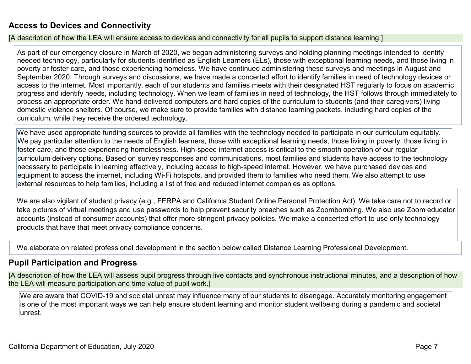#### **Access to Devices and Connectivity**

[A description of how the LEA will ensure access to devices and connectivity for all pupils to support distance learning.]

As part of our emergency closure in March of 2020, we began administering surveys and holding planning meetings intended to identify needed technology, particularly for students identified as English Learners (ELs), those with exceptional learning needs, and those living in poverty or foster care, and those experiencing homeless. We have continued administering these surveys and meetings in August and September 2020. Through surveys and discussions, we have made a concerted effort to identify families in need of technology devices or access to the internet. Most importantly, each of our students and families meets with their designated HST regularly to focus on academic progress and identify needs, including technology. When we learn of families in need of technology, the HST follows through immediately to process an appropriate order. We hand-delivered computers and hard copies of the curriculum to students (and their caregivers) living domestic violence shelters. Of course, we make sure to provide families with distance learning packets, including hard copies of the curriculum, while they receive the ordered technology.

We have used appropriate funding sources to provide all families with the technology needed to participate in our curriculum equitably. We pay particular attention to the needs of English learners, those with exceptional learning needs, those living in poverty, those living in foster care, and those experiencing homelessness. High-speed internet access is critical to the smooth operation of our regular curriculum delivery options. Based on survey responses and communications, most families and students have access to the technology necessary to participate in learning effectively, including access to high-speed internet. However, we have purchased devices and equipment to access the internet, including Wi-Fi hotspots, and provided them to families who need them. We also attempt to use external resources to help families, including a list of free and reduced internet companies as options.

We are also vigilant of student privacy (e.g., FERPA and California Student Online Personal Protection Act). We take care not to record or take pictures of virtual meetings and use passwords to help prevent security breaches such as Zoombombing. We also use Zoom educator accounts (instead of consumer accounts) that offer more stringent privacy policies. We make a concerted effort to use only technology products that have that meet privacy compliance concerns.

We elaborate on related professional development in the section below called Distance Learning Professional Development.

#### **Pupil Participation and Progress**

[A description of how the LEA will assess pupil progress through live contacts and synchronous instructional minutes, and a description of how the LEA will measure participation and time value of pupil work.]

We are aware that COVID-19 and societal unrest may influence many of our students to disengage. Accurately monitoring engagement is one of the most important ways we can help ensure student learning and monitor student wellbeing during a pandemic and societal unrest.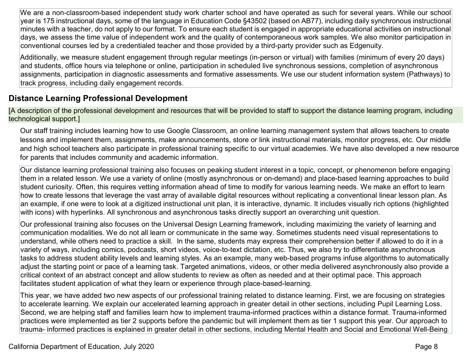We are a non-classroom-based independent study work charter school and have operated as such for several years. While our school year is 175 instructional days, some of the language in Education Code §43502 (based on AB77), including daily synchronous instructional minutes with a teacher, do not apply to our format. To ensure each student is engaged in appropriate educational activities on instructional days, we assess the time value of independent work and the quality of contemporaneous work samples. We also monitor participation in conventional courses led by a credentialed teacher and those provided by a third-party provider such as Edgenuity.

Additionally, we measure student engagement through regular meetings (in-person or virtual) with families (minimum of every 20 days) and students, office hours via telephone or online, participation in scheduled live synchronous sessions, completion of asynchronous assignments, participation in diagnostic assessments and formative assessments. We use our student information system (Pathways) to track progress, including daily engagement records.

#### **Distance Learning Professional Development**

[A description of the professional development and resources that will be provided to staff to support the distance learning program, including technological support.]

Our staff training includes learning how to use Google Classroom, an online learning management system that allows teachers to create lessons and implement them, assignments, make announcements, store or link instructional materials, monitor progress, etc. Our middle and high school teachers also participate in professional training specific to our virtual academies. We have also developed a new resource for parents that includes community and academic information.

Our distance learning professional training also focuses on peaking student interest in a topic, concept, or phenomenon before engaging them in a related lesson. We use a variety of online (mostly asynchronous or on-demand) and place-based learning approaches to build student curiosity. Often, this requires vetting information ahead of time to modify for various learning needs. We make an effort to learn how to create lessons that leverage the vast array of available digital resources without replicating a conventional linear lesson plan. As an example, if one were to look at a digitized instructional unit plan, it is interactive, dynamic. It includes visually rich options (highlighted with icons) with hyperlinks. All synchronous and asynchronous tasks directly support an overarching unit question.

Our professional training also focuses on the Universal Design Learning framework, including maximizing the variety of learning and communication modalities. We do not all learn or communicate in the same way. Sometimes students need visual representations to understand, while others need to practice a skill. In the same, students may express their comprehension better if allowed to do it in a variety of ways, including comics, podcasts, short videos, voice-to-text dictation, etc. Thus, we also try to differentiate asynchronous tasks to address student ability levels and learning styles. As an example, many web-based programs infuse algorithms to automatically adjust the starting point or pace of a learning task. Targeted animations, videos, or other media delivered asynchronously also provide a critical context of an abstract concept and allow students to review as often as needed and at their optimal pace. This approach facilitates student application of what they learn or experience through place-based-learning.

This year, we have added two new aspects of our professional training related to distance learning. First, we are focusing on strategies to accelerate learning. We explain our accelerated learning approach in greater detail in other sections, including Pupil Learning Loss. Second, we are helping staff and families learn how to implement trauma-informed practices within a distance format. Trauma-informed practices were implemented as tier 2 supports before the pandemic but will implement them as tier 1 support this year. Our approach to trauma- informed practices is explained in greater detail in other sections, including Mental Health and Social and Emotional Well-Being.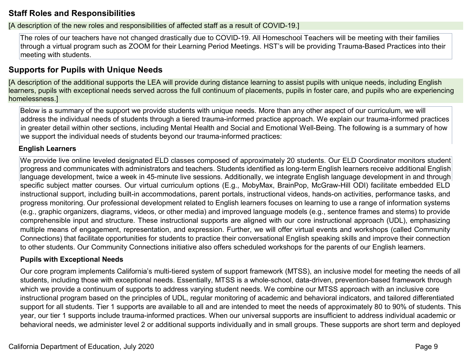#### **Staff Roles and Responsibilities**

[A description of the new roles and responsibilities of affected staff as a result of COVID-19.]

The roles of our teachers have not changed drastically due to COVID-19. All Homeschool Teachers will be meeting with their families through a virtual program such as ZOOM for their Learning Period Meetings. HST's will be providing Trauma-Based Practices into their meeting with students.

### **Supports for Pupils with Unique Needs**

[A description of the additional supports the LEA will provide during distance learning to assist pupils with unique needs, including English learners, pupils with exceptional needs served across the full continuum of placements, pupils in foster care, and pupils who are experiencing homelessness.]

Below is a summary of the support we provide students with unique needs. More than any other aspect of our curriculum, we will address the individual needs of students through a tiered trauma-informed practice approach. We explain our trauma-informed practices in greater detail within other sections, including Mental Health and Social and Emotional Well-Being. The following is a summary of how we support the individual needs of students beyond our trauma-informed practices:

#### **English Learners**

We provide live online leveled designated ELD classes composed of approximately 20 students. Our ELD Coordinator monitors student progress and communicates with administrators and teachers. Students identified as long-term English learners receive additional English language development, twice a week in 45-minute live sessions. Additionally, we integrate English language development in and through specific subject matter courses. Our virtual curriculum options (E.g., MobyMax, BrainPop, McGraw-Hill ODI) facilitate embedded ELD instructional support, including built-in accommodations, parent portals, instructional videos, hands-on activities, performance tasks, and progress monitoring. Our professional development related to English learners focuses on learning to use a range of information systems (e.g., graphic organizers, diagrams, videos, or other media) and improved language models (e.g., sentence frames and stems) to provide comprehensible input and structure. These instructional supports are aligned with our core instructional approach (UDL), emphasizing multiple means of engagement, representation, and expression. Further, we will offer virtual events and workshops (called Community Connections) that facilitate opportunities for students to practice their conversational English speaking skills and improve their connection to other students. Our Community Connections initiative also offers scheduled workshops for the parents of our English learners.

#### **Pupils with Exceptional Needs**

Our core program implements California's multi-tiered system of support framework (MTSS), an inclusive model for meeting the needs of all students, including those with exceptional needs. Essentially, MTSS is a whole-school, data-driven, prevention-based framework through which we provide a continuum of supports to address varying student needs. We combine our MTSS approach with an inclusive core instructional program based on the principles of UDL, regular monitoring of academic and behavioral indicators, and tailored differentiated support for all students. Tier 1 supports are available to all and are intended to meet the needs of approximately 80 to 90% of students. This year, our tier 1 supports include trauma-informed practices. When our universal supports are insufficient to address individual academic or behavioral needs, we administer level 2 or additional supports individually and in small groups. These supports are short term and deployed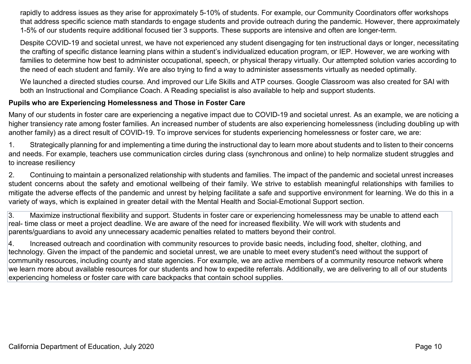rapidly to address issues as they arise for approximately 5-10% of students. For example, our Community Coordinators offer workshops that address specific science math standards to engage students and provide outreach during the pandemic. However, there approximately 1-5% of our students require additional focused tier 3 supports. These supports are intensive and often are longer-term.

Despite COVID-19 and societal unrest, we have not experienced any student disengaging for ten instructional days or longer, necessitating the crafting of specific distance learning plans within a student's individualized education program, or IEP. However, we are working with families to determine how best to administer occupational, speech, or physical therapy virtually. Our attempted solution varies according to the need of each student and family. We are also trying to find a way to administer assessments virtually as needed optimally.

We launched a directed studies course. And improved our Life Skills and ATP courses. Google Classroom was also created for SAI with both an Instructional and Compliance Coach. A Reading specialist is also available to help and support students.

#### **Pupils who are Experiencing Homelessness and Those in Foster Care**

Many of our students in foster care are experiencing a negative impact due to COVID-19 and societal unrest. As an example, we are noticing a higher transiency rate among foster families. An increased number of students are also experiencing homelessness (including doubling up with another family) as a direct result of COVID-19. To improve services for students experiencing homelessness or foster care, we are:

1. Strategically planning for and implementing a time during the instructional day to learn more about students and to listen to their concerns and needs. For example, teachers use communication circles during class (synchronous and online) to help normalize student struggles and to increase resiliency

2. Continuing to maintain a personalized relationship with students and families. The impact of the pandemic and societal unrest increases student concerns about the safety and emotional wellbeing of their family. We strive to establish meaningful relationships with families to mitigate the adverse effects of the pandemic and unrest by helping facilitate a safe and supportive environment for learning. We do this in a variety of ways, which is explained in greater detail with the Mental Health and Social-Emotional Support section.

3. Maximize instructional flexibility and support. Students in foster care or experiencing homelessness may be unable to attend each real- time class or meet a project deadline. We are aware of the need for increased flexibility. We will work with students and parents/guardians to avoid any unnecessary academic penalties related to matters beyond their control.

4. Increased outreach and coordination with community resources to provide basic needs, including food, shelter, clothing, and technology. Given the impact of the pandemic and societal unrest, we are unable to meet every student's need without the support of community resources, including county and state agencies. For example, we are active members of a community resource network where we learn more about available resources for our students and how to expedite referrals. Additionally, we are delivering to all of our students experiencing homeless or foster care with care backpacks that contain school supplies.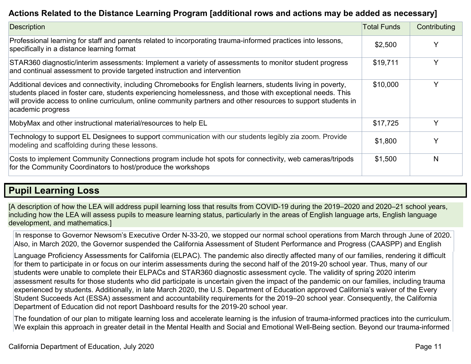### **Actions Related to the Distance Learning Program [additional rows and actions may be added as necessary]**

| Description                                                                                                                                                                                                                                                                                                                                                       | <b>Total Funds</b> | Contributing |
|-------------------------------------------------------------------------------------------------------------------------------------------------------------------------------------------------------------------------------------------------------------------------------------------------------------------------------------------------------------------|--------------------|--------------|
| Professional learning for staff and parents related to incorporating trauma-informed practices into lessons,<br>specifically in a distance learning format                                                                                                                                                                                                        | \$2,500            |              |
| STAR360 diagnostic/interim assessments: Implement a variety of assessments to monitor student progress<br>and continual assessment to provide targeted instruction and intervention                                                                                                                                                                               | \$19,711           |              |
| Additional devices and connectivity, including Chromebooks for English learners, students living in poverty,<br>students placed in foster care, students experiencing homelessness, and those with exceptional needs. This<br>will provide access to online curriculum, online community partners and other resources to support students in<br>academic progress | \$10,000           |              |
| MobyMax and other instructional material/resources to help EL                                                                                                                                                                                                                                                                                                     | \$17,725           | ∨            |
| Technology to support EL Designees to support communication with our students legibly zia zoom. Provide<br>modeling and scaffolding during these lessons.                                                                                                                                                                                                         | \$1,800            |              |
| Costs to implement Community Connections program include hot spots for connectivity, web cameras/tripods<br>for the Community Coordinators to host/produce the workshops                                                                                                                                                                                          | \$1,500            | N            |

### **Pupil Learning Loss**

[A description of how the LEA will address pupil learning loss that results from COVID-19 during the 2019–2020 and 2020–21 school years, including how the LEA will assess pupils to measure learning status, particularly in the areas of English language arts, English language development, and mathematics.]

In response to Governor Newsom's Executive Order N-33-20, we stopped our normal school operations from March through June of 2020. Also, in March 2020, the Governor suspended the California Assessment of Student Performance and Progress (CAASPP) and English

Language Proficiency Assessments for California (ELPAC). The pandemic also directly affected many of our families, rendering it difficult for them to participate in or focus on our interim assessments during the second half of the 2019-20 school year. Thus, many of our students were unable to complete their ELPACs and STAR360 diagnostic assessment cycle. The validity of spring 2020 interim assessment results for those students who did participate is uncertain given the impact of the pandemic on our families, including trauma experienced by students. Additionally, in late March 2020, the U.S. Department of Education approved California's waiver of the Every Student Succeeds Act (ESSA) assessment and accountability requirements for the 2019–20 school year. Consequently, the California Department of Education did not report Dashboard results for the 2019-20 school year.

The foundation of our plan to mitigate learning loss and accelerate learning is the infusion of trauma-informed practices into the curriculum. We explain this approach in greater detail in the Mental Health and Social and Emotional Well-Being section. Beyond our trauma-informed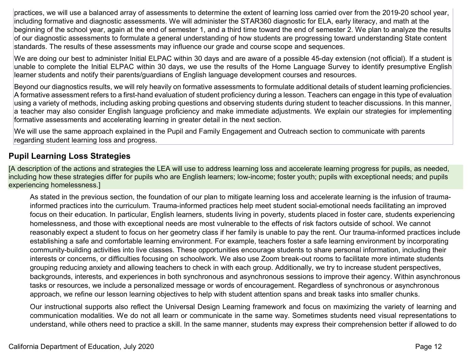practices, we will use a balanced array of assessments to determine the extent of learning loss carried over from the 2019-20 school year, including formative and diagnostic assessments. We will administer the STAR360 diagnostic for ELA, early literacy, and math at the beginning of the school year, again at the end of semester 1, and a third time toward the end of semester 2. We plan to analyze the results of our diagnostic assessments to formulate a general understanding of how students are progressing toward understanding State content standards. The results of these assessments may influence our grade and course scope and sequences.

We are doing our best to administer Initial ELPAC within 30 days and are aware of a possible 45-day extension (not official). If a student is unable to complete the Initial ELPAC within 30 days, we use the results of the Home Language Survey to identify presumptive English learner students and notify their parents/guardians of English language development courses and resources.

Beyond our diagnostics results, we will rely heavily on formative assessments to formulate additional details of student learning proficiencies. A formative assessment refers to a first-hand evaluation of student proficiency during a lesson. Teachers can engage in this type of evaluation using a variety of methods, including asking probing questions and observing students during student to teacher discussions. In this manner, a teacher may also consider English language proficiency and make immediate adjustments. We explain our strategies for implementing formative assessments and accelerating learning in greater detail in the next section.

We will use the same approach explained in the Pupil and Family Engagement and Outreach section to communicate with parents regarding student learning loss and progress.

#### **Pupil Learning Loss Strategies**

[A description of the actions and strategies the LEA will use to address learning loss and accelerate learning progress for pupils, as needed, including how these strategies differ for pupils who are English learners; low-income; foster youth; pupils with exceptional needs; and pupils experiencing homelessness.]

As stated in the previous section, the foundation of our plan to mitigate learning loss and accelerate learning is the infusion of traumainformed practices into the curriculum. Trauma-informed practices help meet student social-emotional needs facilitating an improved focus on their education. In particular, English learners, students living in poverty, students placed in foster care, students experiencing homelessness, and those with exceptional needs are most vulnerable to the effects of risk factors outside of school. We cannot reasonably expect a student to focus on her geometry class if her family is unable to pay the rent. Our trauma-informed practices include establishing a safe and comfortable learning environment. For example, teachers foster a safe learning environment by incorporating community-building activities into live classes. These opportunities encourage students to share personal information, including their interests or concerns, or difficulties focusing on schoolwork. We also use Zoom break-out rooms to facilitate more intimate students grouping reducing anxiety and allowing teachers to check in with each group. Additionally, we try to increase student perspectives, backgrounds, interests, and experiences in both synchronous and asynchronous sessions to improve their agency. Within asynchronous tasks or resources, we include a personalized message or words of encouragement. Regardless of synchronous or asynchronous approach, we refine our lesson learning objectives to help with student attention spans and break tasks into smaller chunks.

Our instructional supports also reflect the Universal Design Learning framework and focus on maximizing the variety of learning and communication modalities. We do not all learn or communicate in the same way. Sometimes students need visual representations to understand, while others need to practice a skill. In the same manner, students may express their comprehension better if allowed to do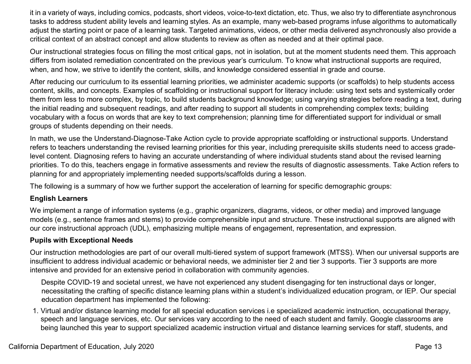it in a variety of ways, including comics, podcasts, short videos, voice-to-text dictation, etc. Thus, we also try to differentiate asynchronous tasks to address student ability levels and learning styles. As an example, many web-based programs infuse algorithms to automatically adjust the starting point or pace of a learning task. Targeted animations, videos, or other media delivered asynchronously also provide a critical context of an abstract concept and allow students to review as often as needed and at their optimal pace.

Our instructional strategies focus on filling the most critical gaps, not in isolation, but at the moment students need them. This approach differs from isolated remediation concentrated on the previous year's curriculum. To know what instructional supports are required, when, and how, we strive to identify the content, skills, and knowledge considered essential in grade and course.

After reducing our curriculum to its essential learning priorities, we administer academic supports (or scaffolds) to help students access content, skills, and concepts. Examples of scaffolding or instructional support for literacy include: using text sets and systemically order them from less to more complex, by topic, to build students background knowledge; using varying strategies before reading a text, during the initial reading and subsequent readings, and after reading to support all students in comprehending complex texts; building vocabulary with a focus on words that are key to text comprehension; planning time for differentiated support for individual or small groups of students depending on their needs.

In math, we use the Understand-Diagnose-Take Action cycle to provide appropriate scaffolding or instructional supports. Understand refers to teachers understanding the revised learning priorities for this year, including prerequisite skills students need to access gradelevel content. Diagnosing refers to having an accurate understanding of where individual students stand about the revised learning priorities. To do this, teachers engage in formative assessments and review the results of diagnostic assessments. Take Action refers to planning for and appropriately implementing needed supports/scaffolds during a lesson.

The following is a summary of how we further support the acceleration of learning for specific demographic groups:

#### **English Learners**

We implement a range of information systems (e.g., graphic organizers, diagrams, videos, or other media) and improved language models (e.g., sentence frames and stems) to provide comprehensible input and structure. These instructional supports are aligned with our core instructional approach (UDL), emphasizing multiple means of engagement, representation, and expression.

#### **Pupils with Exceptional Needs**

Our instruction methodologies are part of our overall multi-tiered system of support framework (MTSS). When our universal supports are insufficient to address individual academic or behavioral needs, we administer tier 2 and tier 3 supports. Tier 3 supports are more intensive and provided for an extensive period in collaboration with community agencies.

Despite COVID-19 and societal unrest, we have not experienced any student disengaging for ten instructional days or longer, necessitating the crafting of specific distance learning plans within a student's individualized education program, or IEP. Our special education department has implemented the following:

1. Virtual and/or distance learning model for all special education services i.e specialized academic instruction, occupational therapy, speech and language services, etc. Our services vary according to the need of each student and family. Google classrooms are being launched this year to support specialized academic instruction virtual and distance learning services for staff, students, and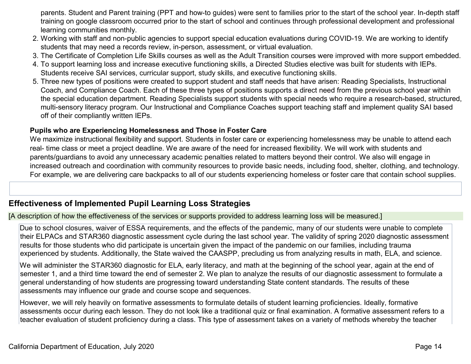parents. Student and Parent training (PPT and how-to guides) were sent to families prior to the start of the school year. In-depth staff training on google classroom occurred prior to the start of school and continues through professional development and professional learning communities monthly.

- 2. Working with staff and non-public agencies to support special education evaluations during COVID-19. We are working to identify students that may need a records review, in-person, assessment, or virtual evaluation.
- 3. The Certificate of Completion Life Skills courses as well as the Adult Transition courses were improved with more support embedded.
- 4. To support learning loss and increase executive functioning skills, a Directed Studies elective was built for students with IEPs. Students receive SAI services, curricular support, study skills, and executive functioning skills.
- 5. Three new types of positions were created to support student and staff needs that have arisen: Reading Specialists, Instructional Coach, and Compliance Coach. Each of these three types of positions supports a direct need from the previous school year within the special education department. Reading Specialists support students with special needs who require a research-based, structured, multi-sensory literacy program. Our Instructional and Compliance Coaches support teaching staff and implement quality SAI based off of their compliantly written IEPs.

#### **Pupils who are Experiencing Homelessness and Those in Foster Care**

We maximize instructional flexibility and support. Students in foster care or experiencing homelessness may be unable to attend each real- time class or meet a project deadline. We are aware of the need for increased flexibility. We will work with students and parents/guardians to avoid any unnecessary academic penalties related to matters beyond their control. We also will engage in increased outreach and coordination with community resources to provide basic needs, including food, shelter, clothing, and technology. For example, we are delivering care backpacks to all of our students experiencing homeless or foster care that contain school supplies.

#### **Effectiveness of Implemented Pupil Learning Loss Strategies**

[A description of how the effectiveness of the services or supports provided to address learning loss will be measured.]

Due to school closures, waiver of ESSA requirements, and the effects of the pandemic, many of our students were unable to complete their ELPACs and STAR360 diagnostic assessment cycle during the last school year. The validity of spring 2020 diagnostic assessment results for those students who did participate is uncertain given the impact of the pandemic on our families, including trauma experienced by students. Additionally, the State waived the CAASPP, precluding us from analyzing results in math, ELA, and science.

We will administer the STAR360 diagnostic for ELA, early literacy, and math at the beginning of the school year, again at the end of semester 1, and a third time toward the end of semester 2. We plan to analyze the results of our diagnostic assessment to formulate a general understanding of how students are progressing toward understanding State content standards. The results of these assessments may influence our grade and course scope and sequences.

However, we will rely heavily on formative assessments to formulate details of student learning proficiencies. Ideally, formative assessments occur during each lesson. They do not look like a traditional quiz or final examination. A formative assessment refers to a teacher evaluation of student proficiency during a class. This type of assessment takes on a variety of methods whereby the teacher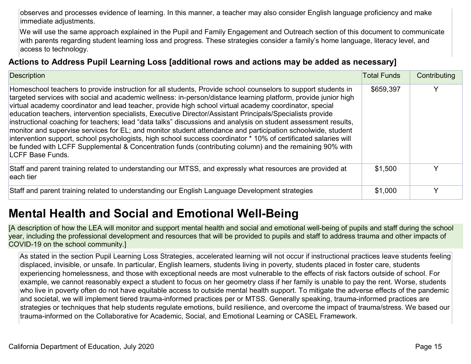observes and processes evidence of learning. In this manner, a teacher may also consider English language proficiency and make immediate adjustments.

We will use the same approach explained in the Pupil and Family Engagement and Outreach section of this document to communicate with parents regarding student learning loss and progress. These strategies consider a family's home language, literacy level, and access to technology.

#### **Actions to Address Pupil Learning Loss [additional rows and actions may be added as necessary]**

| Description                                                                                                                                                                                                                                                                                                                                                                                                                                                                                                                                                                                                                                                                                                                                                                                                                                                                                                                               | <b>Total Funds</b> | Contributing |
|-------------------------------------------------------------------------------------------------------------------------------------------------------------------------------------------------------------------------------------------------------------------------------------------------------------------------------------------------------------------------------------------------------------------------------------------------------------------------------------------------------------------------------------------------------------------------------------------------------------------------------------------------------------------------------------------------------------------------------------------------------------------------------------------------------------------------------------------------------------------------------------------------------------------------------------------|--------------------|--------------|
| Homeschool teachers to provide instruction for all students, Provide school counselors to support students in<br>targeted services with social and academic wellness: in-person/distance learning platform, provide junior high<br>virtual academy coordinator and lead teacher, provide high school virtual academy coordinator, special<br>education teachers, intervention specialists, Executive Director/Assistant Principals/Specialists provide<br>instructional coaching for teachers; lead "data talks" discussions and analysis on student assessment results,<br>monitor and supervise services for EL; and monitor student attendance and participation schoolwide, student<br>intervention support, school psychologists, high school success coordinator * 10% of certificated salaries will<br>be funded with LCFF Supplemental & Concentration funds (contributing column) and the remaining 90% with<br>LCFF Base Funds. | \$659,397          | ∨            |
| Staff and parent training related to understanding our MTSS, and expressly what resources are provided at<br>leach tier                                                                                                                                                                                                                                                                                                                                                                                                                                                                                                                                                                                                                                                                                                                                                                                                                   | \$1,500            | v            |
| Staff and parent training related to understanding our English Language Development strategies                                                                                                                                                                                                                                                                                                                                                                                                                                                                                                                                                                                                                                                                                                                                                                                                                                            | \$1,000            | v            |

## **Mental Health and Social and Emotional Well-Being**

[A description of how the LEA will monitor and support mental health and social and emotional well-being of pupils and staff during the school year, including the professional development and resources that will be provided to pupils and staff to address trauma and other impacts of COVID-19 on the school community.]

As stated in the section Pupil Learning Loss Strategies, accelerated learning will not occur if instructional practices leave students feeling displaced, invisible, or unsafe. In particular, English learners, students living in poverty, students placed in foster care, students experiencing homelessness, and those with exceptional needs are most vulnerable to the effects of risk factors outside of school. For example, we cannot reasonably expect a student to focus on her geometry class if her family is unable to pay the rent. Worse, students who live in poverty often do not have equitable access to outside mental health support. To mitigate the adverse effects of the pandemic and societal, we will implement tiered trauma-informed practices per or MTSS. Generally speaking, trauma-informed practices are strategies or techniques that help students regulate emotions, build resilience, and overcome the impact of trauma/stress. We based our trauma-informed on the Collaborative for Academic, Social, and Emotional Learning or CASEL Framework.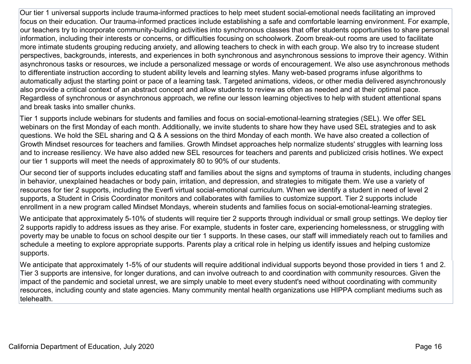Our tier 1 universal supports include trauma-informed practices to help meet student social-emotional needs facilitating an improved focus on their education. Our trauma-informed practices include establishing a safe and comfortable learning environment. For example, our teachers try to incorporate community-building activities into synchronous classes that offer students opportunities to share personal information, including their interests or concerns, or difficulties focusing on schoolwork. Zoom break-out rooms are used to facilitate more intimate students grouping reducing anxiety, and allowing teachers to check in with each group. We also try to increase student perspectives, backgrounds, interests, and experiences in both synchronous and asynchronous sessions to improve their agency. Within asynchronous tasks or resources, we include a personalized message or words of encouragement. We also use asynchronous methods to differentiate instruction according to student ability levels and learning styles. Many web-based programs infuse algorithms to automatically adjust the starting point or pace of a learning task. Targeted animations, videos, or other media delivered asynchronously also provide a critical context of an abstract concept and allow students to review as often as needed and at their optimal pace. Regardless of synchronous or asynchronous approach, we refine our lesson learning objectives to help with student attentional spans and break tasks into smaller chunks.

Tier 1 supports include webinars for students and families and focus on social-emotional-learning strategies (SEL). We offer SEL webinars on the first Monday of each month. Additionally, we invite students to share how they have used SEL strategies and to ask questions. We hold the SEL sharing and Q & A sessions on the third Monday of each month. We have also created a collection of Growth Mindset resources for teachers and families. Growth Mindset approaches help normalize students' struggles with learning loss and to increase resiliency. We have also added new SEL resources for teachers and parents and publicized crisis hotlines. We expect our tier 1 supports will meet the needs of approximately 80 to 90% of our students.

Our second tier of supports includes educating staff and families about the signs and symptoms of trauma in students, including changes in behavior, unexplained headaches or body pain, irritation, and depression, and strategies to mitigate them. We use a variety of resources for tier 2 supports, including the Everfi virtual social-emotional curriculum. When we identify a student in need of level 2 supports, a Student in Crisis Coordinator monitors and collaborates with families to customize support. Tier 2 supports include enrollment in a new program called Mindset Mondays, wherein students and families focus on social-emotional-learning strategies.

We anticipate that approximately 5-10% of students will require tier 2 supports through individual or small group settings. We deploy tier 2 supports rapidly to address issues as they arise. For example, students in foster care, experiencing homelessness, or struggling with poverty may be unable to focus on school despite our tier 1 supports. In these cases, our staff will immediately reach out to families and schedule a meeting to explore appropriate supports. Parents play a critical role in helping us identify issues and helping customize supports.

We anticipate that approximately 1-5% of our students will require additional individual supports beyond those provided in tiers 1 and 2. Tier 3 supports are intensive, for longer durations, and can involve outreach to and coordination with community resources. Given the impact of the pandemic and societal unrest, we are simply unable to meet every student's need without coordinating with community resources, including county and state agencies. Many community mental health organizations use HIPPA compliant mediums such as telehealth.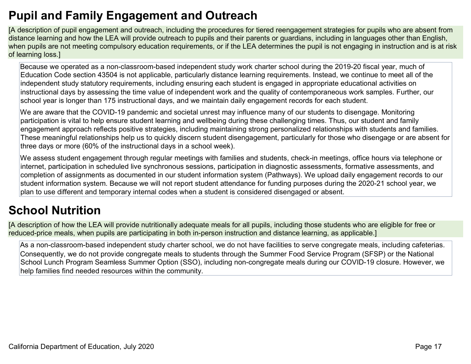## **Pupil and Family Engagement and Outreach**

[A description of pupil engagement and outreach, including the procedures for tiered reengagement strategies for pupils who are absent from distance learning and how the LEA will provide outreach to pupils and their parents or guardians, including in languages other than English, when pupils are not meeting compulsory education requirements, or if the LEA determines the pupil is not engaging in instruction and is at risk of learning loss.]

Because we operated as a non-classroom-based independent study work charter school during the 2019-20 fiscal year, much of Education Code section 43504 is not applicable, particularly distance learning requirements. Instead, we continue to meet all of the independent study statutory requirements, including ensuring each student is engaged in appropriate educational activities on instructional days by assessing the time value of independent work and the quality of contemporaneous work samples. Further, our school year is longer than 175 instructional days, and we maintain daily engagement records for each student.

We are aware that the COVID-19 pandemic and societal unrest may influence many of our students to disengage. Monitoring participation is vital to help ensure student learning and wellbeing during these challenging times. Thus, our student and family engagement approach reflects positive strategies, including maintaining strong personalized relationships with students and families. These meaningful relationships help us to quickly discern student disengagement, particularly for those who disengage or are absent for three days or more (60% of the instructional days in a school week).

We assess student engagement through regular meetings with families and students, check-in meetings, office hours via telephone or internet, participation in scheduled live synchronous sessions, participation in diagnostic assessments, formative assessments, and completion of assignments as documented in our student information system (Pathways). We upload daily engagement records to our student information system. Because we will not report student attendance for funding purposes during the 2020-21 school year, we plan to use different and temporary internal codes when a student is considered disengaged or absent.

## **School Nutrition**

[A description of how the LEA will provide nutritionally adequate meals for all pupils, including those students who are eligible for free or reduced-price meals, when pupils are participating in both in-person instruction and distance learning, as applicable.]

As a non-classroom-based independent study charter school, we do not have facilities to serve congregate meals, including cafeterias. Consequently, we do not provide congregate meals to students through the Summer Food Service Program (SFSP) or the National School Lunch Program Seamless Summer Option (SSO), including non-congregate meals during our COVID-19 closure. However, we help families find needed resources within the community.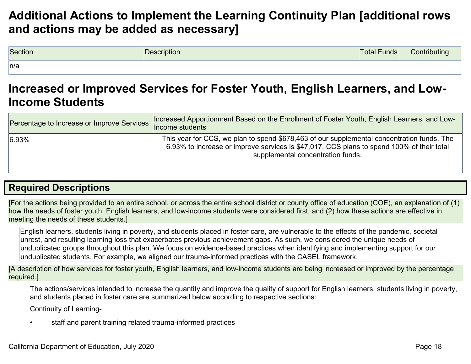## **Additional Actions to Implement the Learning Continuity Plan [additional rows and actions may be added as necessary]**

| Section | Description | Total Funds | Contributing |
|---------|-------------|-------------|--------------|
| n/a     |             |             |              |

### **Increased or Improved Services for Foster Youth, English Learners, and Low-Income Students**

| Percentage to Increase or Improve Services | Increased Apportionment Based on the Enrollment of Foster Youth, English Learners, and Low-<br>Income students                                                                                                               |
|--------------------------------------------|------------------------------------------------------------------------------------------------------------------------------------------------------------------------------------------------------------------------------|
| 6.93%                                      | This year for CCS, we plan to spend \$678,463 of our supplemental concentration funds. The<br>6.93% to increase or improve services is \$47,017. CCS plans to spend 100% of their total<br>supplemental concentration funds. |

### **Required Descriptions**

[For the actions being provided to an entire school, or across the entire school district or county office of education (COE), an explanation of (1) how the needs of foster youth, English learners, and low-income students were considered first, and (2) how these actions are effective in meeting the needs of these students.]

English learners, students living in poverty, and students placed in foster care, are vulnerable to the effects of the pandemic, societal unrest, and resulting learning loss that exacerbates previous achievement gaps. As such, we considered the unique needs of unduplicated groups throughout this plan. We focus on evidence-based practices when identifying and implementing support for our unduplicated students. For example, we aligned our trauma-informed practices with the CASEL framework.

[A description of how services for foster youth, English learners, and low-income students are being increased or improved by the percentage required.]

The actions/services intended to increase the quantity and improve the quality of support for English learners, students living in poverty, and students placed in foster care are summarized below according to respective sections:

Continuity of Learning-

staff and parent training related trauma-informed practices